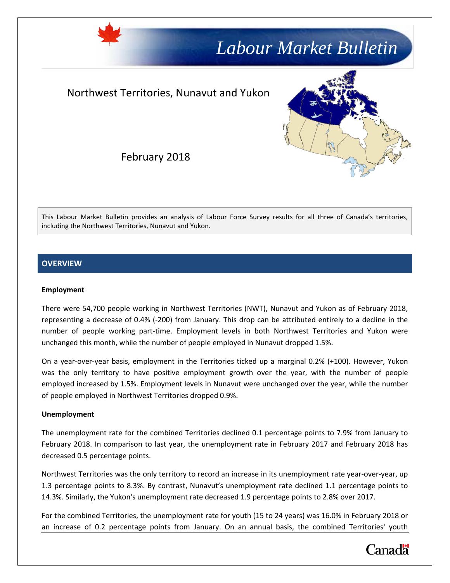

This Labour Market Bulletin provides an analysis of Labour Force Survey results for all three of Canada's territories, including the Northwest Territories, Nunavut and Yukon.

## **OVERVIEW**

## **Employment**

There were 54,700 people working in Northwest Territories (NWT), Nunavut and Yukon as of February 2018, representing a decrease of 0.4% (-200) from January. This drop can be attributed entirely to a decline in the number of people working part-time. Employment levels in both Northwest Territories and Yukon were unchanged this month, while the number of people employed in Nunavut dropped 1.5%.

On a year-over-year basis, employment in the Territories ticked up a marginal 0.2% (+100). However, Yukon was the only territory to have positive employment growth over the year, with the number of people employed increased by 1.5%. Employment levels in Nunavut were unchanged over the year, while the number of people employed in Northwest Territories dropped 0.9%.

### **Unemployment**

The unemployment rate for the combined Territories declined 0.1 percentage points to 7.9% from January to February 2018. In comparison to last year, the unemployment rate in February 2017 and February 2018 has decreased 0.5 percentage points.

Northwest Territories was the only territory to record an increase in its unemployment rate year-over-year, up 1.3 percentage points to 8.3%. By contrast, Nunavut's unemployment rate declined 1.1 percentage points to 14.3%. Similarly, the Yukon's unemployment rate decreased 1.9 percentage points to 2.8% over 2017.

For the combined Territories, the unemployment rate for youth (15 to 24 years) was 16.0% in February 2018 or an increase of 0.2 percentage points from January. On an annual basis, the combined Territories' youth

# Canadä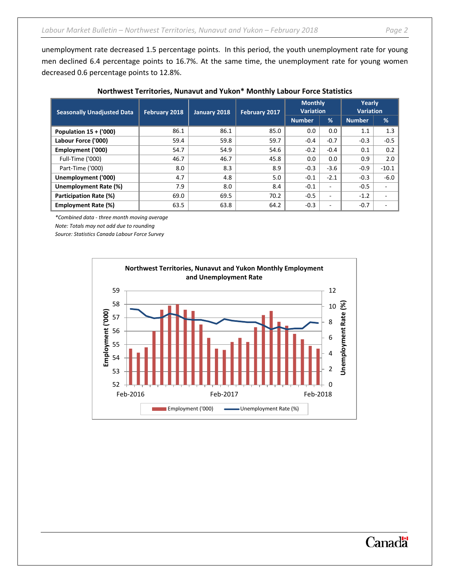unemployment rate decreased 1.5 percentage points. In this period, the youth unemployment rate for young men declined 6.4 percentage points to 16.7%. At the same time, the unemployment rate for young women decreased 0.6 percentage points to 12.8%.

| <b>Seasonally Unadjusted Data</b> | February 2018 | January 2018 | February 2017 | <b>Monthly</b><br><b>Variation</b> |                          | Yearly<br><b>Variation</b> |         |
|-----------------------------------|---------------|--------------|---------------|------------------------------------|--------------------------|----------------------------|---------|
|                                   |               |              |               | <b>Number</b>                      | $\frac{9}{6}$            | <b>Number</b>              | %       |
| Population 15 + ('000)            | 86.1          | 86.1         | 85.0          | 0.0                                | 0.0                      | 1.1                        | 1.3     |
| Labour Force ('000)               | 59.4          | 59.8         | 59.7          | $-0.4$                             | $-0.7$                   | $-0.3$                     | $-0.5$  |
| Employment ('000)                 | 54.7          | 54.9         | 54.6          | $-0.2$                             | $-0.4$                   | 0.1                        | 0.2     |
| Full-Time ('000)                  | 46.7          | 46.7         | 45.8          | 0.0                                | 0.0                      | 0.9                        | 2.0     |
| Part-Time ('000)                  | 8.0           | 8.3          | 8.9           | $-0.3$                             | $-3.6$                   | $-0.9$                     | $-10.1$ |
| Unemployment ('000)               | 4.7           | 4.8          | 5.0           | $-0.1$                             | $-2.1$                   | $-0.3$                     | $-6.0$  |
| Unemployment Rate (%)             | 7.9           | 8.0          | 8.4           | $-0.1$                             | $\overline{\phantom{a}}$ | $-0.5$                     | Ξ.      |
| Participation Rate (%)            | 69.0          | 69.5         | 70.2          | $-0.5$                             | $\overline{\phantom{a}}$ | $-1.2$                     | ٠.      |
| <b>Employment Rate (%)</b>        | 63.5          | 63.8         | 64.2          | $-0.3$                             | $\overline{\phantom{a}}$ | $-0.7$                     |         |

## **Northwest Territories, Nunavut and Yukon\* Monthly Labour Force Statistics**

*\*Combined data - three month moving average*

*Note: Totals may not add due to rounding*

*Source: Statistics Canada Labour Force Survey*

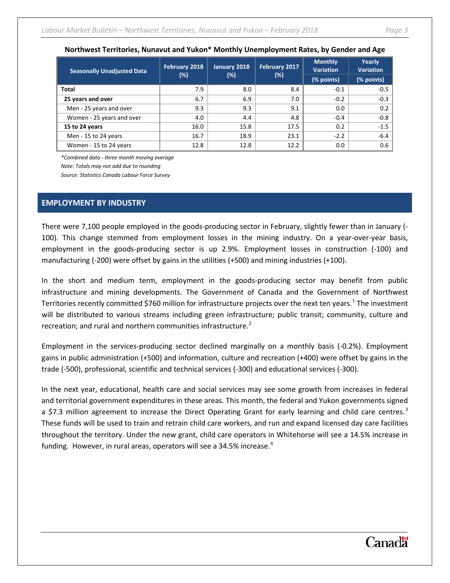| <b>Seasonally Unadjusted Data</b> | February 2018<br>$(\%)$ | January 2018<br>$(\%)$ | February 2017<br>(%) | <b>Monthly</b><br><b>Variation</b> | Yearly<br><b>Variation</b> |  |
|-----------------------------------|-------------------------|------------------------|----------------------|------------------------------------|----------------------------|--|
|                                   |                         |                        |                      | (% points)                         | (% points)                 |  |
| Total                             | 7.9                     | 8.0                    | 8.4                  | $-0.1$                             | $-0.5$                     |  |
| 25 years and over                 | 6.7                     | 6.9                    | 7.0                  | $-0.2$                             | $-0.3$                     |  |
| Men - 25 years and over           | 9.3                     | 9.3                    | 9.1                  | 0.0                                | 0.2                        |  |
| Women - 25 years and over         | 4.0                     | 4.4                    | 4.8                  | $-0.4$                             | $-0.8$                     |  |
| 15 to 24 years                    | 16.0                    | 15.8                   | 17.5                 | 0.2                                | $-1.5$                     |  |
| Men - 15 to 24 years              | 16.7                    | 18.9                   | 23.1                 | $-2.2$                             | $-6.4$                     |  |
| Women - 15 to 24 years            | 12.8                    | 12.8                   | 12.2                 | 0.0                                | 0.6                        |  |

## **Northwest Territories, Nunavut and Yukon\* Monthly Unemployment Rates, by Gender and Age**

*\*Combined data - three month moving average*

*Note: Totals may not add due to rounding*

*Source: Statistics Canada Labour Force Survey*

## **EMPLOYMENT BY INDUSTRY**

There were 7,100 people employed in the goods-producing sector in February, slightly fewer than in January (- 100). This change stemmed from employment losses in the mining industry. On a year-over-year basis, employment in the goods-producing sector is up 2.9%. Employment losses in construction (-100) and manufacturing (-200) were offset by gains in the utilities (+500) and mining industries (+100).

In the short and medium term, employment in the goods-producing sector may benefit from public infrastructure and mining developments. The Government of Canada and the Government of Northwest Territories recently committed \$760 million for infrastructure projects over the next ten years.<sup>[1](#page-5-0)</sup> The investment will be distributed to various streams including green infrastructure; public transit; community, culture and recreation; and rural and northern communities infrastructure.<sup>[2](#page-5-1)</sup>

Employment in the services-producing sector declined marginally on a monthly basis (-0.2%). Employment gains in public administration (+500) and information, culture and recreation (+400) were offset by gains in the trade (-500), professional, scientific and technical services (-300) and educational services (-300).

In the next year, educational, health care and social services may see some growth from increases in federal and territorial government expenditures in these areas. This month, the federal and Yukon governments signed a \$7.[3](#page-5-2) million agreement to increase the Direct Operating Grant for early learning and child care centres.<sup>3</sup> These funds will be used to train and retrain child care workers, and run and expand licensed day care facilities throughout the territory. Under the new grant, child care operators in Whitehorse will see a 14.5% increase in funding. However, in rural areas, operators will see a 3[4](#page-5-3).5% increase. $4$ 

## Canadä<sup>r</sup>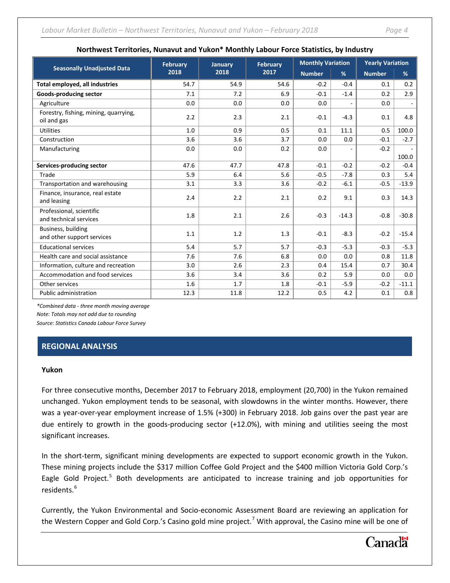#### **Northwest Territories, Nunavut and Yukon\* Monthly Labour Force Statistics, by Industry**

|                                                      | <b>February</b> | January | <b>February</b> | <b>Monthly Variation</b> |                | <b>Yearly Variation</b> |         |
|------------------------------------------------------|-----------------|---------|-----------------|--------------------------|----------------|-------------------------|---------|
| <b>Seasonally Unadjusted Data</b>                    | 2018            | 2018    | 2017            | <b>Number</b>            | %              | <b>Number</b>           | %       |
| <b>Total employed, all industries</b>                | 54.7            | 54.9    | 54.6            | $-0.2$                   | $-0.4$         | 0.1                     | 0.2     |
| <b>Goods-producing sector</b>                        | 7.1             | 7.2     | 6.9             | $-0.1$                   | $-1.4$         | 0.2                     | 2.9     |
| Agriculture                                          | 0.0             | 0.0     | 0.0             | 0.0                      |                | 0.0                     |         |
| Forestry, fishing, mining, quarrying,<br>oil and gas | 2.2             | 2.3     | 2.1             | $-0.1$                   | $-4.3$         | 0.1                     | 4.8     |
| <b>Utilities</b>                                     | 1.0             | 0.9     | 0.5             | 0.1                      | 11.1           | 0.5                     | 100.0   |
| Construction                                         | 3.6             | 3.6     | 3.7             | 0.0                      | 0.0            | $-0.1$                  | $-2.7$  |
| Manufacturing                                        | 0.0             | 0.0     | 0.2             | 0.0                      | $\blacksquare$ | $-0.2$                  |         |
|                                                      |                 |         |                 |                          |                |                         | 100.0   |
| Services-producing sector                            | 47.6            | 47.7    | 47.8            | $-0.1$                   | $-0.2$         | $-0.2$                  | $-0.4$  |
| Trade                                                | 5.9             | 6.4     | 5.6             | $-0.5$                   | $-7.8$         | 0.3                     | 5.4     |
| Transportation and warehousing                       | 3.1             | 3.3     | 3.6             | $-0.2$                   | $-6.1$         | $-0.5$                  | $-13.9$ |
| Finance, insurance, real estate<br>and leasing       | 2.4             | 2.2     | 2.1             | 0.2                      | 9.1            | 0.3                     | 14.3    |
| Professional, scientific<br>and technical services   | 1.8             | 2.1     | 2.6             | $-0.3$                   | $-14.3$        | $-0.8$                  | $-30.8$ |
| Business, building<br>and other support services     | 1.1             | 1.2     | 1.3             | $-0.1$                   | $-8.3$         | $-0.2$                  | $-15.4$ |
| <b>Educational services</b>                          | 5.4             | 5.7     | 5.7             | $-0.3$                   | $-5.3$         | $-0.3$                  | $-5.3$  |
| Health care and social assistance                    | 7.6             | 7.6     | 6.8             | 0.0                      | 0.0            | 0.8                     | 11.8    |
| Information, culture and recreation                  | 3.0             | 2.6     | 2.3             | 0.4                      | 15.4           | 0.7                     | 30.4    |
| Accommodation and food services                      | 3.6             | 3.4     | 3.6             | 0.2                      | 5.9            | 0.0                     | 0.0     |
| Other services                                       | 1.6             | 1.7     | 1.8             | $-0.1$                   | $-5.9$         | $-0.2$                  | $-11.1$ |
| Public administration                                | 12.3            | 11.8    | 12.2            | 0.5                      | 4.2            | 0.1                     | 0.8     |

*\*Combined data - three month moving average Note: Totals may not add due to rounding Source: Statistics Canada Labour Force Survey*

## **REGIONAL ANALYSIS**

### **Yukon**

For three consecutive months, December 2017 to February 2018, employment (20,700) in the Yukon remained unchanged. Yukon employment tends to be seasonal, with slowdowns in the winter months. However, there was a year-over-year employment increase of 1.5% (+300) in February 2018. Job gains over the past year are due entirely to growth in the goods-producing sector (+12.0%), with mining and utilities seeing the most significant increases.

In the short-term, significant mining developments are expected to support economic growth in the Yukon. These mining projects include the \$317 million Coffee Gold Project and the \$400 million Victoria Gold Corp.'s Eagle Gold Project.<sup>[5](#page-5-4)</sup> Both developments are anticipated to increase training and job opportunities for residents.<sup>[6](#page-5-5)</sup>

Currently, the Yukon Environmental and Socio-economic Assessment Board are reviewing an application for the Western Copper and Gold Corp.'s Casino gold mine project.<sup>[7](#page-5-6)</sup> With approval, the Casino mine will be one of

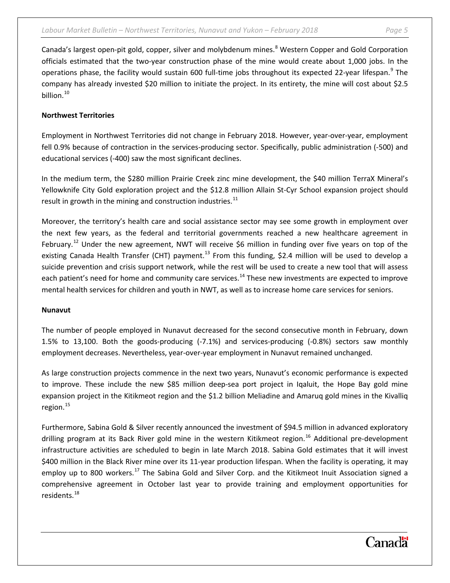Canada's largest open-pit gold, copper, silver and molybdenum mines.<sup>[8](#page-6-0)</sup> Western Copper and Gold Corporation officials estimated that the two-year construction phase of the mine would create about 1,000 jobs. In the operations phase, the facility would sustain 600 full-time jobs throughout its expected 22-year lifespan.<sup>[9](#page-6-1)</sup> The company has already invested \$20 million to initiate the project. In its entirety, the mine will cost about \$2.5 billion.<sup>[10](#page-6-2)</sup>

## **Northwest Territories**

Employment in Northwest Territories did not change in February 2018. However, year-over-year, employment fell 0.9% because of contraction in the services-producing sector. Specifically, public administration (-500) and educational services (-400) saw the most significant declines.

In the medium term, the \$280 million Prairie Creek zinc mine development, the \$40 million TerraX Mineral's Yellowknife City Gold exploration project and the \$12.8 million Allain St-Cyr School expansion project should result in growth in the mining and construction industries. $^{11}$  $^{11}$  $^{11}$ 

Moreover, the territory's health care and social assistance sector may see some growth in employment over the next few years, as the federal and territorial governments reached a new healthcare agreement in February.<sup>[12](#page-6-4)</sup> Under the new agreement, NWT will receive \$6 million in funding over five years on top of the existing Canada Health Transfer (CHT) payment.<sup>[13](#page-6-5)</sup> From this funding, \$2.4 million will be used to develop a suicide prevention and crisis support network, while the rest will be used to create a new tool that will assess each patient's need for home and community care services.<sup>[14](#page-6-6)</sup> These new investments are expected to improve mental health services for children and youth in NWT, as well as to increase home care services for seniors.

### **Nunavut**

The number of people employed in Nunavut decreased for the second consecutive month in February, down 1.5% to 13,100. Both the goods-producing (-7.1%) and services-producing (-0.8%) sectors saw monthly employment decreases. Nevertheless, year-over-year employment in Nunavut remained unchanged.

As large construction projects commence in the next two years, Nunavut's economic performance is expected to improve. These include the new \$85 million deep-sea port project in Iqaluit, the Hope Bay gold mine expansion project in the Kitikmeot region and the \$1.2 billion Meliadine and Amaruq gold mines in the Kivalliq region. [15](#page-6-7)

Furthermore, Sabina Gold & Silver recently announced the investment of \$94.5 million in advanced exploratory drilling program at its Back River gold mine in the western Kitikmeot region. [16](#page-6-8) Additional pre-development infrastructure activities are scheduled to begin in late March 2018. Sabina Gold estimates that it will invest \$400 million in the Black River mine over its 11-year production lifespan. When the facility is operating, it may employ up to 800 workers.<sup>[17](#page-6-9)</sup> The Sabina Gold and Silver Corp. and the Kitikmeot Inuit Association signed a comprehensive agreement in October last year to provide training and employment opportunities for residents.[18](#page-6-10)

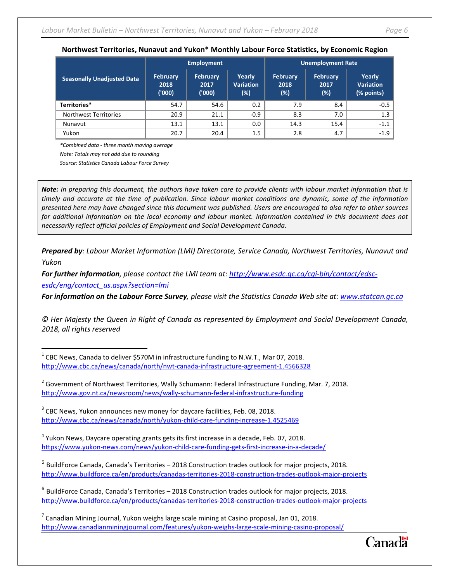## **Northwest Territories, Nunavut and Yukon\* Monthly Labour Force Statistics, by Economic Region**

|                                   | <b>Employment</b>                |                            |                                   | <b>Unemployment Rate</b>          |                            |                                          |  |
|-----------------------------------|----------------------------------|----------------------------|-----------------------------------|-----------------------------------|----------------------------|------------------------------------------|--|
| <b>Seasonally Unadjusted Data</b> | <b>February</b><br>2018<br>(000) | February<br>2017<br>(1000) | Yearly<br><b>Variation</b><br>(%) | <b>February</b><br>2018<br>$(\%)$ | February<br>2017<br>$(\%)$ | Yearly<br><b>Variation</b><br>(% points) |  |
| Territories*                      | 54.7                             | 54.6                       | 0.2                               | 7.9                               | 8.4                        | $-0.5$                                   |  |
| <b>Northwest Territories</b>      | 20.9                             | 21.1                       | $-0.9$                            | 8.3                               | 7.0                        | 1.3                                      |  |
| Nunavut                           | 13.1                             | 13.1                       | 0.0                               | 14.3                              | 15.4                       | $-1.1$                                   |  |
| Yukon                             | 20.7                             | 20.4                       | 1.5                               | 2.8                               | 4.7                        | $-1.9$                                   |  |

*\*Combined data - three month moving average*

*Note: Totals may not add due to rounding*

*Source: Statistics Canada Labour Force Survey* 

*Note: In preparing this document, the authors have taken care to provide clients with labour market information that is timely and accurate at the time of publication. Since labour market conditions are dynamic, some of the information presented here may have changed since this document was published. Users are encouraged to also refer to other sources for additional information on the local economy and labour market. Information contained in this document does not necessarily reflect official policies of Employment and Social Development Canada.*

*Prepared by: Labour Market Information (LMI) Directorate, Service Canada, Northwest Territories, Nunavut and Yukon*

*For further information, please contact the LMI team at: [http://www.esdc.gc.ca/cgi-bin/contact/edsc](http://www.esdc.gc.ca/cgi-bin/contact/edsc-esdc/eng/contact_us.aspx?section=lmi)[esdc/eng/contact\\_us.aspx?section=lmi](http://www.esdc.gc.ca/cgi-bin/contact/edsc-esdc/eng/contact_us.aspx?section=lmi)*

*For information on the Labour Force Survey, please visit the Statistics Canada Web site at: [www.statcan.gc.ca](http://www.statcan.gc.ca/start-debut-eng.html)*

*© Her Majesty the Queen in Right of Canada as represented by Employment and Social Development Canada, 2018, all rights reserved*

<span id="page-5-2"></span><sup>3</sup> CBC News, Yukon announces new money for daycare facilities, Feb. 08, 2018. <http://www.cbc.ca/news/canada/north/yukon-child-care-funding-increase-1.4525469>

<span id="page-5-3"></span> $4$  Yukon News, Daycare operating grants gets its first increase in a decade, Feb. 07, 2018. <https://www.yukon-news.com/news/yukon-child-care-funding-gets-first-increase-in-a-decade/>

<span id="page-5-6"></span> $<sup>7</sup>$  Canadian Mining Journal, Yukon weighs large scale mining at Casino proposal, Jan 01, 2018.</sup> <http://www.canadianminingjournal.com/features/yukon-weighs-large-scale-mining-casino-proposal/>



<span id="page-5-0"></span> $1$  CBC News, Canada to deliver \$570M in infrastructure funding to N.W.T., Mar 07, 2018. <http://www.cbc.ca/news/canada/north/nwt-canada-infrastructure-agreement-1.4566328>

<span id="page-5-1"></span> $2$  Government of Northwest Territories, Wally Schumann: Federal Infrastructure Funding, Mar. 7, 2018. <http://www.gov.nt.ca/newsroom/news/wally-schumann-federal-infrastructure-funding>

<span id="page-5-4"></span><sup>&</sup>lt;sup>5</sup> BuildForce Canada, Canada's Territories – 2018 Construction trades outlook for major projects, 2018. <http://www.buildforce.ca/en/products/canadas-territories-2018-construction-trades-outlook-major-projects>

<span id="page-5-5"></span> $6$  BuildForce Canada, Canada's Territories – 2018 Construction trades outlook for major projects, 2018. <http://www.buildforce.ca/en/products/canadas-territories-2018-construction-trades-outlook-major-projects>